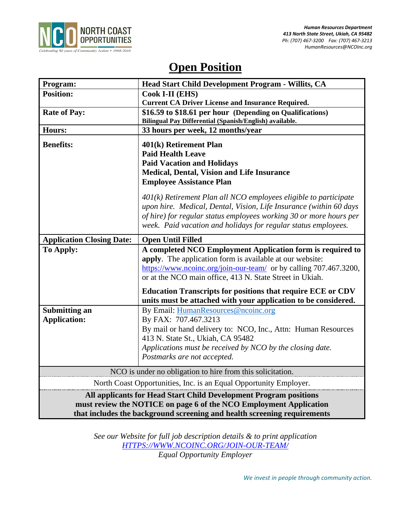

# **Open Position**

| Program:                                                                                                                                | Head Start Child Development Program - Willits, CA                 |
|-----------------------------------------------------------------------------------------------------------------------------------------|--------------------------------------------------------------------|
| <b>Position:</b>                                                                                                                        | Cook I-II (EHS)                                                    |
|                                                                                                                                         | <b>Current CA Driver License and Insurance Required.</b>           |
| <b>Rate of Pay:</b>                                                                                                                     | \$16.59 to \$18.61 per hour (Depending on Qualifications)          |
|                                                                                                                                         | Bilingual Pay Differential (Spanish/English) available.            |
| Hours:                                                                                                                                  | 33 hours per week, 12 months/year                                  |
| <b>Benefits:</b>                                                                                                                        | 401(k) Retirement Plan                                             |
|                                                                                                                                         | <b>Paid Health Leave</b>                                           |
|                                                                                                                                         | <b>Paid Vacation and Holidays</b>                                  |
|                                                                                                                                         | Medical, Dental, Vision and Life Insurance                         |
|                                                                                                                                         | <b>Employee Assistance Plan</b>                                    |
|                                                                                                                                         | $401(k)$ Retirement Plan all NCO employees eligible to participate |
|                                                                                                                                         | upon hire. Medical, Dental, Vision, Life Insurance (within 60 days |
|                                                                                                                                         | of hire) for regular status employees working 30 or more hours per |
|                                                                                                                                         | week. Paid vacation and holidays for regular status employees.     |
|                                                                                                                                         |                                                                    |
| <b>Application Closing Date:</b>                                                                                                        | <b>Open Until Filled</b>                                           |
| <b>To Apply:</b>                                                                                                                        | A completed NCO Employment Application form is required to         |
|                                                                                                                                         | apply. The application form is available at our website:           |
|                                                                                                                                         | https://www.ncoinc.org/join-our-team/ or by calling 707.467.3200,  |
|                                                                                                                                         | or at the NCO main office, 413 N. State Street in Ukiah.           |
|                                                                                                                                         | <b>Education Transcripts for positions that require ECE or CDV</b> |
|                                                                                                                                         | units must be attached with your application to be considered.     |
| <b>Submitting an</b>                                                                                                                    | By Email: HumanResources@ncoinc.org                                |
| <b>Application:</b>                                                                                                                     | By FAX: 707.467.3213                                               |
|                                                                                                                                         | By mail or hand delivery to: NCO, Inc., Attn: Human Resources      |
|                                                                                                                                         | 413 N. State St., Ukiah, CA 95482                                  |
|                                                                                                                                         | Applications must be received by NCO by the closing date.          |
|                                                                                                                                         | Postmarks are not accepted.                                        |
| NCO is under no obligation to hire from this solicitation.                                                                              |                                                                    |
| North Coast Opportunities, Inc. is an Equal Opportunity Employer.                                                                       |                                                                    |
|                                                                                                                                         |                                                                    |
| All applicants for Head Start Child Development Program positions<br>must review the NOTICE on page 6 of the NCO Employment Application |                                                                    |
|                                                                                                                                         |                                                                    |
| that includes the background screening and health screening requirements                                                                |                                                                    |

*See our Website for full job description details & to print application [HTTPS://WWW.NCOINC.ORG/JOIN-OUR-TEAM/](https://www.ncoinc.org/join-our-team/) Equal Opportunity Employer*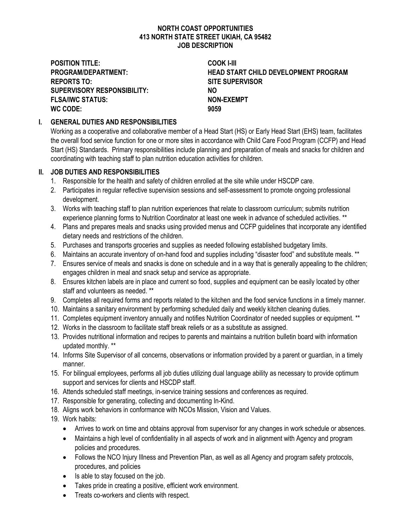#### **NORTH COAST OPPORTUNITIES 413 NORTH STATE STREET UKIAH, CA 95482 JOB DESCRIPTION**

**POSITION TITLE: COOK I-III REPORTS TO: SITE SUPERVISOR SUPERVISORY RESPONSIBILITY: NO FLSA/IWC STATUS: NON-EXEMPT WC CODE: 9059**

**PROGRAM/DEPARTMENT: HEAD START CHILD DEVELOPMENT PROGRAM**

### **I. GENERAL DUTIES AND RESPONSIBILITIES**

Working as a cooperative and collaborative member of a Head Start (HS) or Early Head Start (EHS) team, facilitates the overall food service function for one or more sites in accordance with Child Care Food Program (CCFP) and Head Start (HS) Standards. Primary responsibilities include planning and preparation of meals and snacks for children and coordinating with teaching staff to plan nutrition education activities for children.

#### **II. JOB DUTIES AND RESPONSIBILITIES**

- 1. Responsible for the health and safety of children enrolled at the site while under HSCDP care.
- 2. Participates in regular reflective supervision sessions and self-assessment to promote ongoing professional development.
- 3. Works with teaching staff to plan nutrition experiences that relate to classroom curriculum; submits nutrition experience planning forms to Nutrition Coordinator at least one week in advance of scheduled activities. \*\*
- 4. Plans and prepares meals and snacks using provided menus and CCFP guidelines that incorporate any identified dietary needs and restrictions of the children.
- 5. Purchases and transports groceries and supplies as needed following established budgetary limits.
- 6. Maintains an accurate inventory of on-hand food and supplies including "disaster food" and substitute meals. \*\*
- 7. Ensures service of meals and snacks is done on schedule and in a way that is generally appealing to the children; engages children in meal and snack setup and service as appropriate.
- 8. Ensures kitchen labels are in place and current so food, supplies and equipment can be easily located by other staff and volunteers as needed. \*\*
- 9. Completes all required forms and reports related to the kitchen and the food service functions in a timely manner.
- 10. Maintains a sanitary environment by performing scheduled daily and weekly kitchen cleaning duties.
- 11. Completes equipment inventory annually and notifies Nutrition Coordinator of needed supplies or equipment. \*\*
- 12. Works in the classroom to facilitate staff break reliefs or as a substitute as assigned.
- 13. Provides nutritional information and recipes to parents and maintains a nutrition bulletin board with information updated monthly. \*\*
- 14. Informs Site Supervisor of all concerns, observations or information provided by a parent or guardian, in a timely manner.
- 15. For bilingual employees, performs all job duties utilizing dual language ability as necessary to provide optimum support and services for clients and HSCDP staff.
- 16. Attends scheduled staff meetings, in-service training sessions and conferences as required.
- 17. Responsible for generating, collecting and documenting In-Kind.
- 18. Aligns work behaviors in conformance with NCOs Mission, Vision and Values.
- 19. Work habits:
	- Arrives to work on time and obtains approval from supervisor for any changes in work schedule or absences.
	- Maintains a high level of confidentiality in all aspects of work and in alignment with Agency and program policies and procedures.
	- Follows the NCO Injury Illness and Prevention Plan, as well as all Agency and program safety protocols, procedures, and policies
	- Is able to stay focused on the job.
	- Takes pride in creating a positive, efficient work environment.
	- Treats co-workers and clients with respect.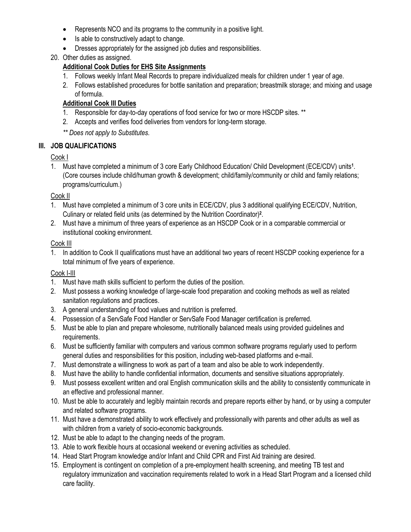- Represents NCO and its programs to the community in a positive light.
- Is able to constructively adapt to change.
- Dresses appropriately for the assigned job duties and responsibilities.
- 20. Other duties as assigned.

# **Additional Cook Duties for EHS Site Assignments**

- 1. Follows weekly Infant Meal Records to prepare individualized meals for children under 1 year of age.
- 2. Follows established procedures for bottle sanitation and preparation; breastmilk storage; and mixing and usage of formula.

# **Additional Cook III Duties**

- 1. Responsible for day-to-day operations of food service for two or more HSCDP sites. \*\*
- 2. Accepts and verifies food deliveries from vendors for long-term storage.
- *\*\* Does not apply to Substitutes.*

### **III. JOB QUALIFICATIONS**

### Cook I

1. Must have completed a minimum of 3 core Early Childhood Education/ Child Development (ECE/CDV) units**<sup>1</sup>** . (Core courses include child/human growth & development; child/family/community or child and family relations; programs/curriculum.)

### Cook II

- 1. Must have completed a minimum of 3 core units in ECE/CDV, plus 3 additional qualifying ECE/CDV, Nutrition, Culinary or related field units (as determined by the Nutrition Coordinator)**<sup>2</sup>** .
- 2. Must have a minimum of three years of experience as an HSCDP Cook or in a comparable commercial or institutional cooking environment.

### Cook III

1. In addition to Cook II qualifications must have an additional two years of recent HSCDP cooking experience for a total minimum of five years of experience.

# Cook I-III

- 1. Must have math skills sufficient to perform the duties of the position.
- 2. Must possess a working knowledge of large-scale food preparation and cooking methods as well as related sanitation regulations and practices.
- 3. A general understanding of food values and nutrition is preferred.
- 4. Possession of a ServSafe Food Handler or ServSafe Food Manager certification is preferred.
- 5. Must be able to plan and prepare wholesome, nutritionally balanced meals using provided guidelines and requirements.
- 6. Must be sufficiently familiar with computers and various common software programs regularly used to perform general duties and responsibilities for this position, including web-based platforms and e-mail.
- 7. Must demonstrate a willingness to work as part of a team and also be able to work independently.
- 8. Must have the ability to handle confidential information, documents and sensitive situations appropriately.
- 9. Must possess excellent written and oral English communication skills and the ability to consistently communicate in an effective and professional manner.
- 10. Must be able to accurately and legibly maintain records and prepare reports either by hand, or by using a computer and related software programs.
- 11. Must have a demonstrated ability to work effectively and professionally with parents and other adults as well as with children from a variety of socio-economic backgrounds.
- 12. Must be able to adapt to the changing needs of the program.
- 13. Able to work flexible hours at occasional weekend or evening activities as scheduled.
- 14. Head Start Program knowledge and/or Infant and Child CPR and First Aid training are desired.
- 15. Employment is contingent on completion of a pre-employment health screening, and meeting TB test and regulatory immunization and vaccination requirements related to work in a Head Start Program and a licensed child care facility.